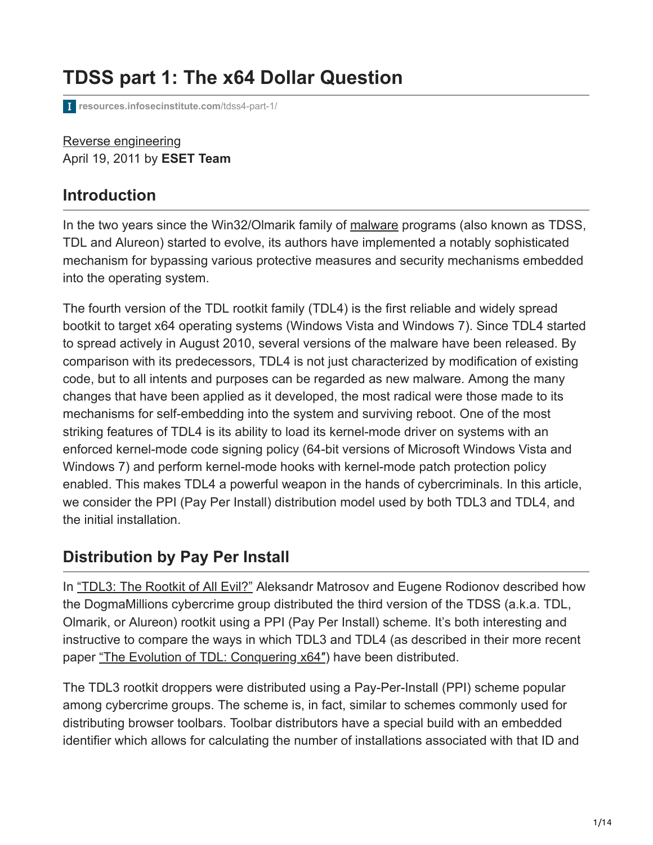# **TDSS part 1: The x64 Dollar Question**

**[resources.infosecinstitute.com](http://resources.infosecinstitute.com/tdss4-part-1/)**/tdss4-part-1/

[Reverse engineering](https://resources.infosecinstitute.com/topics/reverse-engineering/) April 19, 2011 by **ESET Team**

### **Introduction**

In the two years since the Win32/Olmarik family of [malware](https://www.infosecinstitute.com/courses/advanced_reverse_engineering_malware.html) programs (also known as TDSS, TDL and Alureon) started to evolve, its authors have implemented a notably sophisticated mechanism for bypassing various protective measures and security mechanisms embedded into the operating system.

The fourth version of the TDL rootkit family (TDL4) is the first reliable and widely spread bootkit to target x64 operating systems (Windows Vista and Windows 7). Since TDL4 started to spread actively in August 2010, several versions of the malware have been released. By comparison with its predecessors, TDL4 is not just characterized by modification of existing code, but to all intents and purposes can be regarded as new malware. Among the many changes that have been applied as it developed, the most radical were those made to its mechanisms for self-embedding into the system and surviving reboot. One of the most striking features of TDL4 is its ability to load its kernel-mode driver on systems with an enforced kernel-mode code signing policy (64-bit versions of Microsoft Windows Vista and Windows 7) and perform kernel-mode hooks with kernel-mode patch protection policy enabled. This makes TDL4 a powerful weapon in the hands of cybercriminals. In this article, we consider the PPI (Pay Per Install) distribution model used by both TDL3 and TDL4, and the initial installation.

### **Distribution by Pay Per Install**

In ["TDL3: The Rootkit of All Evil?"](http://www.eset.com/us/resources/white-papers/TDL3-Analysis.pdf) Aleksandr Matrosov and Eugene Rodionov described how the DogmaMillions cybercrime group distributed the third version of the TDSS (a.k.a. TDL, Olmarik, or Alureon) rootkit using a PPI (Pay Per Install) scheme. It's both interesting and instructive to compare the ways in which TDL3 and TDL4 (as described in their more recent paper ["The Evolution of TDL: Conquering x64″](http://www.eset.com/us/resources/white-papers/The_Evolution_of_TDL.pdf)) have been distributed.

The TDL3 rootkit droppers were distributed using a Pay-Per-Install (PPI) scheme popular among cybercrime groups. The scheme is, in fact, similar to schemes commonly used for distributing browser toolbars. Toolbar distributors have a special build with an embedded identifier which allows for calculating the number of installations associated with that ID and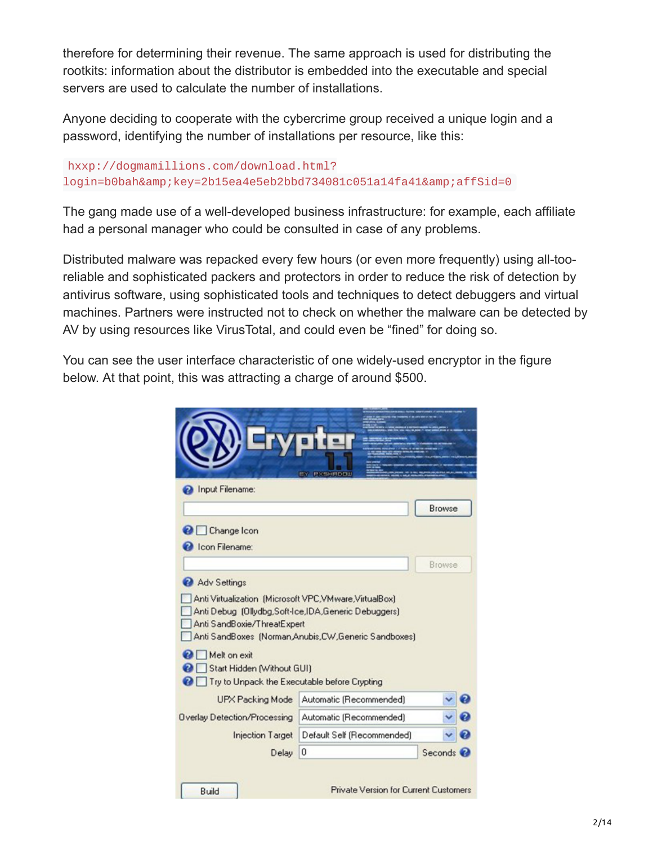therefore for determining their revenue. The same approach is used for distributing the rootkits: information about the distributor is embedded into the executable and special servers are used to calculate the number of installations.

Anyone deciding to cooperate with the cybercrime group received a unique login and a password, identifying the number of installations per resource, like this:

```
hxxp://dogmamillions.com/download.html?
login=b0bah&key=2b15ea4e5eb2bbd734081c051a14fa41&affSid=0
```
The gang made use of a well-developed business infrastructure: for example, each affiliate had a personal manager who could be consulted in case of any problems.

Distributed malware was repacked every few hours (or even more frequently) using all-tooreliable and sophisticated packers and protectors in order to reduce the risk of detection by antivirus software, using sophisticated tools and techniques to detect debuggers and virtual machines. Partners were instructed not to check on whether the malware can be detected by AV by using resources like VirusTotal, and could even be "fined" for doing so.

You can see the user interface characteristic of one widely-used encryptor in the figure below. At that point, this was attracting a charge of around \$500.

| Input Filename:                                                                                    | <b>EN DISERGED</b>                                  |        |  |
|----------------------------------------------------------------------------------------------------|-----------------------------------------------------|--------|--|
|                                                                                                    |                                                     | Browse |  |
| <b>O</b> Change Icon                                                                               |                                                     |        |  |
| <b>C</b> Icon Filename:                                                                            |                                                     |        |  |
|                                                                                                    |                                                     | Browse |  |
| Adv Settings                                                                                       |                                                     |        |  |
|                                                                                                    |                                                     |        |  |
| Anti Debug (Ollydbg,Soft-Ice,IDA,Generic Debuggers)<br>Anti SandBoxie/ThreatExpert<br>Melt on exit | Anti SandBoxes (Norman Anubis CW Generic Sandboxes) |        |  |
| Start Hidden (Without GUI)<br>Try to Unpack the Executable before Crypting<br>ea l                 |                                                     |        |  |
| UPX Packing Mode                                                                                   | Automatic (Recommended)                             |        |  |
|                                                                                                    | Automatic (Recommended)                             |        |  |
| <b>Overlay Detection/Processing</b><br><b>Injection Target</b>                                     | Default Self (Recommended)                          |        |  |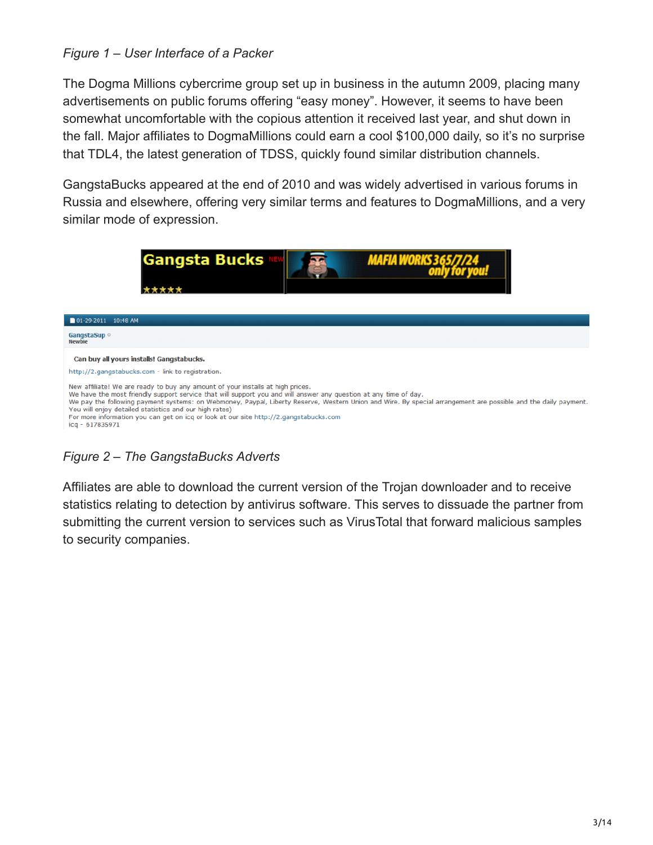#### *Figure 1 – User Interface of a Packer*

The Dogma Millions cybercrime group set up in business in the autumn 2009, placing many advertisements on public forums offering "easy money". However, it seems to have been somewhat uncomfortable with the copious attention it received last year, and shut down in the fall. Major affiliates to DogmaMillions could earn a cool \$100,000 daily, so it's no surprise that TDL4, the latest generation of TDSS, quickly found similar distribution channels.

GangstaBucks appeared at the end of 2010 and was widely advertised in various forums in Russia and elsewhere, offering very similar terms and features to DogmaMillions, and a very similar mode of expression.



*Figure 2 – The GangstaBucks Adverts*

Affiliates are able to download the current version of the Trojan downloader and to receive statistics relating to detection by antivirus software. This serves to dissuade the partner from submitting the current version to services such as VirusTotal that forward malicious samples to security companies.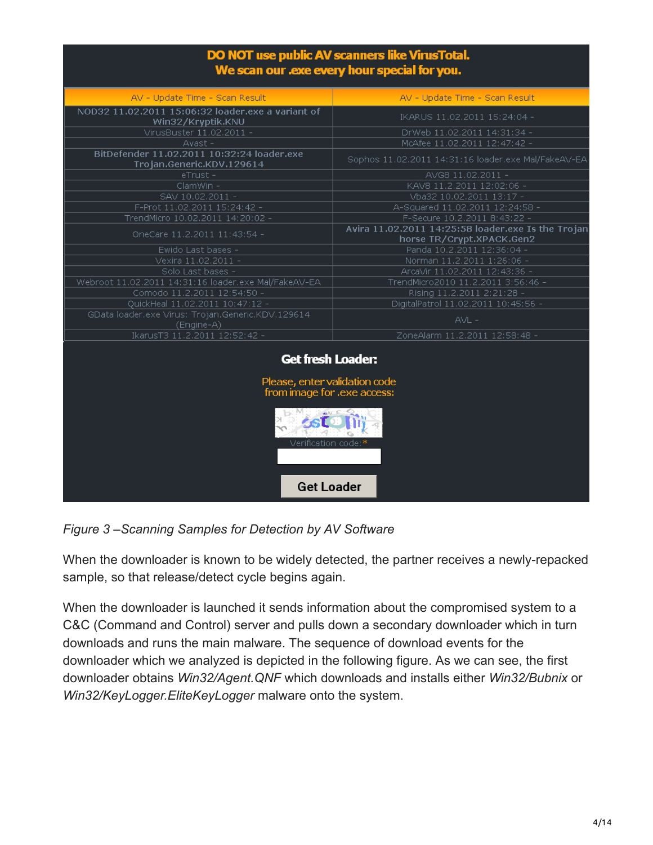#### DO NOT use public AV scanners like VirusTotal. We scan our .exe every hour special for you.

| AV - Update Time - Scan Result                                                           | AV - Update Time - Scan Result                                                  |  |  |  |
|------------------------------------------------------------------------------------------|---------------------------------------------------------------------------------|--|--|--|
| NOD32 11.02.2011 15:06:32 loader.exe a variant of<br>Win32/Kryptik.KNU                   | IKARUS 11.02.2011 15:24:04 -                                                    |  |  |  |
| VirusBuster 11.02.2011 -                                                                 | DrWeb 11.02.2011 14:31:34 -                                                     |  |  |  |
| $A$ vast -                                                                               | McAfee 11.02.2011 12:47:42 -                                                    |  |  |  |
| BitDefender 11.02.2011 10:32:24 loader.exe<br>Trojan.Generic.KDV.129614                  | Sophos 11.02.2011 14:31:16 loader.exe Mal/FakeAV-EA                             |  |  |  |
| eTrust-                                                                                  | AVG8 11.02.2011 -                                                               |  |  |  |
| ClamWin -                                                                                | KAV8 11.2.2011 12:02:06 -                                                       |  |  |  |
| SAV 10.02.2011 -                                                                         | Vba32 10.02.2011 13:17 -                                                        |  |  |  |
| F-Prot 11.02.2011 15:24:42 -                                                             | A-Squared 11.02.2011 12:24:58 -                                                 |  |  |  |
| TrendMicro 10.02.2011 14:20:02 -                                                         | F-Secure 10.2.2011 8:43:22 -                                                    |  |  |  |
| OneCare 11.2.2011 11:43:54 -                                                             | Avira 11.02.2011 14:25:58 loader.exe Is the Trojan<br>horse TR/Crypt.XPACK.Gen2 |  |  |  |
| Ewido Last bases -                                                                       | Panda 10.2.2011 12:36:04 -                                                      |  |  |  |
| Vexira 11.02.2011 -                                                                      | Norman 11.2.2011 1:26:06 -                                                      |  |  |  |
| Solo Last bases -                                                                        | ArcaVir 11.02.2011 12:43:36 -                                                   |  |  |  |
| Webroot 11.02.2011 14:31:16 loader.exe Mal/FakeAV-EA                                     | TrendMicro2010 11.2.2011 3:56:46 -                                              |  |  |  |
| Comodo 11.2.2011 12:54:50 -                                                              | Rising 11.2.2011 2:21:28 -                                                      |  |  |  |
| QuickHeal 11.02.2011 10:47:12 -                                                          | DigitalPatrol 11.02.2011 10:45:56 -                                             |  |  |  |
| GData loader.exe Virus: Trojan.Generic.KDV.129614<br>(Engine-A)                          | $AVL -$                                                                         |  |  |  |
| IkarusT3 11.2.2011 12:52:42 -                                                            | ZoneAlarm 11.2.2011 12:58:48 -                                                  |  |  |  |
| <b>Get fresh Loader:</b><br>Please, enter validation code<br>from image for .exe access: |                                                                                 |  |  |  |
| Verification code:*<br><b>Get Loader</b>                                                 |                                                                                 |  |  |  |
|                                                                                          |                                                                                 |  |  |  |

*Figure 3 –Scanning Samples for Detection by AV Software*

When the downloader is known to be widely detected, the partner receives a newly-repacked sample, so that release/detect cycle begins again.

When the downloader is launched it sends information about the compromised system to a C&C (Command and Control) server and pulls down a secondary downloader which in turn downloads and runs the main malware. The sequence of download events for the downloader which we analyzed is depicted in the following figure. As we can see, the first downloader obtains *Win32/Agent.QNF* which downloads and installs either *Win32/Bubnix* or *Win32/KeyLogger.EliteKeyLogger* malware onto the system.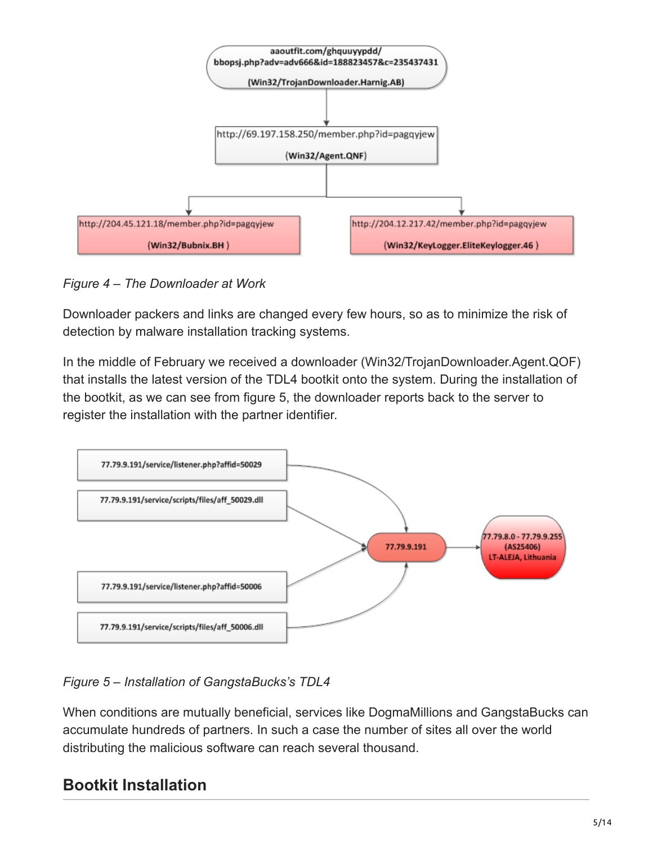

*Figure 4 – The Downloader at Work*

Downloader packers and links are changed every few hours, so as to minimize the risk of detection by malware installation tracking systems.

In the middle of February we received a downloader (Win32/TrojanDownloader.Agent.QOF) that installs the latest version of the TDL4 bootkit onto the system. During the installation of the bootkit, as we can see from figure 5, the downloader reports back to the server to register the installation with the partner identifier.



*Figure 5 – Installation of GangstaBucks's TDL4*

When conditions are mutually beneficial, services like DogmaMillions and GangstaBucks can accumulate hundreds of partners. In such a case the number of sites all over the world distributing the malicious software can reach several thousand.

# **Bootkit Installation**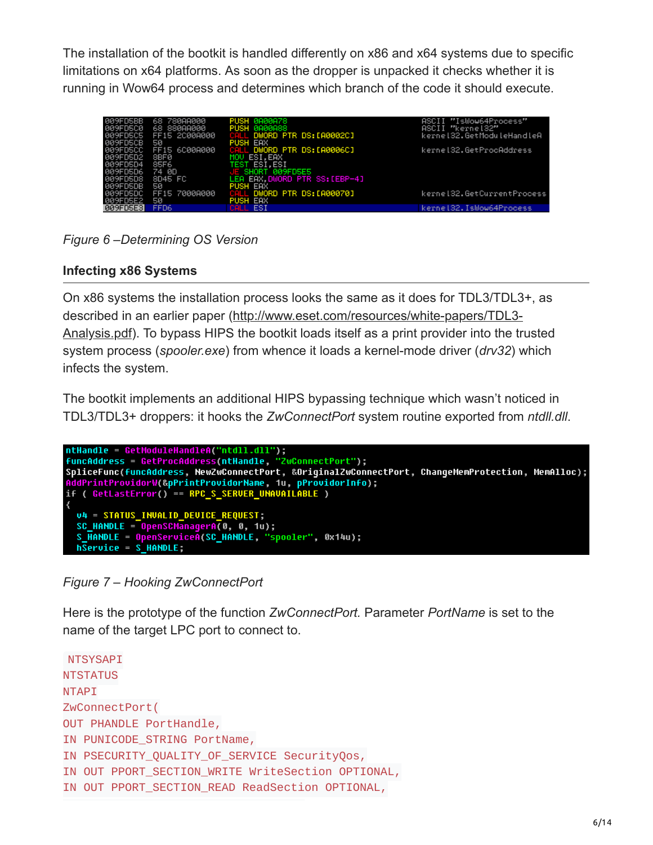The installation of the bootkit is handled differently on x86 and x64 systems due to specific limitations on x64 platforms. As soon as the dropper is unpacked it checks whether it is running in Wow64 process and determines which branch of the code it should execute.

| 009FD5BB<br>009FD5C0 | 68 780AA000<br>68 880AA000 | PUSH 0000078<br>PUSH 0A00A88   | ASCII "IsWow64Process"<br>ASCII "kernel32" |
|----------------------|----------------------------|--------------------------------|--------------------------------------------|
| 009FD5C5             | FF15 2C00A000              | CALL DWORD PTR DS: [A0002C]    | kerne132.GetModuleHandleA                  |
| 009FD5CB             | 50                         | PUSH EAX                       |                                            |
| 009FD5CC             | FF15 6C00A000              | CALL DWORD PTR DS: [A0006C]    | kernel32.GetProcAddress                    |
| 009FD5D2             | 8BF0                       | MOU ESI.EAX                    |                                            |
| 009FD5D4             | 85F6                       | TEST ESI, ESI                  |                                            |
| <b>009FD5D6</b>      | 74 0D                      | E SHORT 009FD5E5               |                                            |
| <b>009FD5D8</b>      | 8D45 FC                    | LEA EAX, DWORD PTR SS: [EBP-4] |                                            |
| <b>ØØ9FD5DB</b>      | 50                         | <b>PUSH EAX</b>                |                                            |
| 009FD5DC             | FF15 7000A000              | CALL DWORD PTR DS: [A00070]    | kerne132.GetCurrentProcess                 |
| 009FD5E2             | 50                         | <b>PUSH EAX</b>                |                                            |
| 009FD5E3             | FFD6                       | CALL ESI                       | kerne132.IsWow64Process                    |

*Figure 6 –Determining OS Version*

#### **Infecting x86 Systems**

On x86 systems the installation process looks the same as it does for TDL3/TDL3+, as [described in an earlier paper \(http://www.eset.com/resources/white-papers/TDL3-](http://www.eset.com/resources/white-papers/TDL3-Analysis.pdf) Analysis.pdf). To bypass HIPS the bootkit loads itself as a print provider into the trusted system process (*spooler.exe*) from whence it loads a kernel-mode driver (*drv32*) which infects the system.

The bootkit implements an additional HIPS bypassing technique which wasn't noticed in TDL3/TDL3+ droppers: it hooks the *ZwConnectPort* system routine exported from *ntdll.dll*.

```
ntHandle = GetModuleHandleA("ntdll.dll");<br>funcAddress = GetProcAddress(ntHandle, "ZwConnectPort");<br>SpliceFunc(funcAddress, NewZwConnectPort, &OriginalZwConnectPort, ChangeMemProtection, MemAlloc);
AddPrintProvidorW(&pPrintProvidorName, 1u, pProvidorInfo);<br>if ( GetLastError() == RPC_S_SERUER_UNAUAILABLE )
   U4 = STATUS_INVALID_DEVICE_REQUEST;
   SC_ HANDLE = OpenSCManagerA(0, 0, 1u);
    S_HANDLE = OpenServiceA(SC_HANDLE, "spooler", 0x14u);
   h\overline{S}ervice = S HANDLE;
```
*Figure 7 – Hooking ZwConnectPort*

Here is the prototype of the function *ZwConnectPort.* Parameter *PortName* is set to the name of the target LPC port to connect to.

```
NTSYSAPI
NTSTATUS
NTAPI
ZwConnectPort(
OUT PHANDLE PortHandle,
IN PUNICODE_STRING PortName,
IN PSECURITY_QUALITY_OF_SERVICE SecurityQos,
IN OUT PPORT_SECTION_WRITE WriteSection OPTIONAL,
IN OUT PPORT_SECTION_READ ReadSection OPTIONAL,
```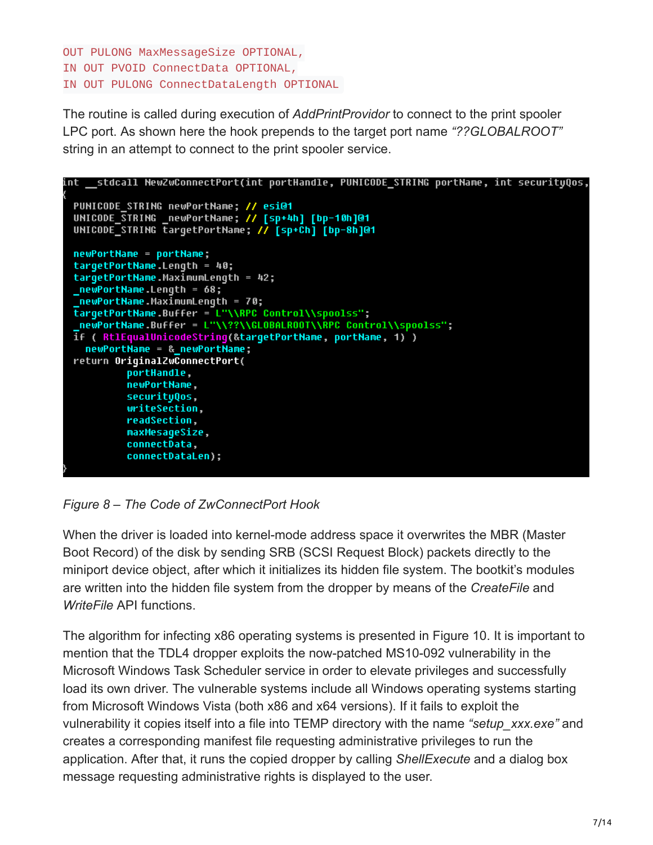```
OUT PULONG MaxMessageSize OPTIONAL,
IN OUT PVOID ConnectData OPTIONAL,
IN OUT PULONG ConnectDataLength OPTIONAL
```
The routine is called during execution of *AddPrintProvidor* to connect to the print spooler LPC port. As shown here the hook prepends to the target port name *"??GLOBALROOT"* string in an attempt to connect to the print spooler service.



*Figure 8 – The Code of ZwConnectPort Hook*

When the driver is loaded into kernel-mode address space it overwrites the MBR (Master Boot Record) of the disk by sending SRB (SCSI Request Block) packets directly to the miniport device object, after which it initializes its hidden file system. The bootkit's modules are written into the hidden file system from the dropper by means of the *CreateFile* and *WriteFile* API functions.

The algorithm for infecting x86 operating systems is presented in Figure 10. It is important to mention that the TDL4 dropper exploits the now-patched MS10-092 vulnerability in the Microsoft Windows Task Scheduler service in order to elevate privileges and successfully load its own driver. The vulnerable systems include all Windows operating systems starting from Microsoft Windows Vista (both x86 and x64 versions). If it fails to exploit the vulnerability it copies itself into a file into TEMP directory with the name *"setup\_xxx.exe"* and creates a corresponding manifest file requesting administrative privileges to run the application. After that, it runs the copied dropper by calling *ShellExecute* and a dialog box message requesting administrative rights is displayed to the user.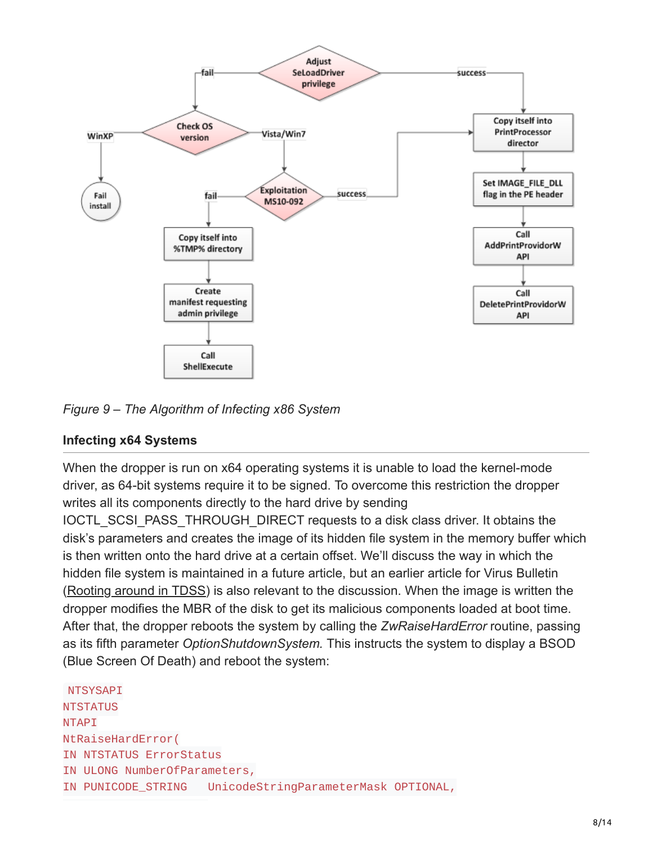

*Figure 9 – The Algorithm of Infecting x86 System*

#### **Infecting x64 Systems**

When the dropper is run on x64 operating systems it is unable to load the kernel-mode driver, as 64-bit systems require it to be signed. To overcome this restriction the dropper writes all its components directly to the hard drive by sending

IOCTL SCSI PASS THROUGH DIRECT requests to a disk class driver. It obtains the disk's parameters and creates the image of its hidden file system in the memory buffer which is then written onto the hard drive at a certain offset. We'll discuss the way in which the hidden file system is maintained in a future article, but an earlier article for Virus Bulletin ([Rooting around in TDSS](http://www.eset.com/us/resources/white-papers/Rooting-about-in-TDSS.pdf)) is also relevant to the discussion. When the image is written the dropper modifies the MBR of the disk to get its malicious components loaded at boot time. After that, the dropper reboots the system by calling the *ZwRaiseHardError* routine, passing as its fifth parameter *OptionShutdownSystem.* This instructs the system to display a BSOD (Blue Screen Of Death) and reboot the system:

**NTSYSAPI NTSTATUS NTAPI** NtRaiseHardError( IN NTSTATUS ErrorStatus IN ULONG NumberOfParameters, IN PUNICODE\_STRING UnicodeStringParameterMask OPTIONAL,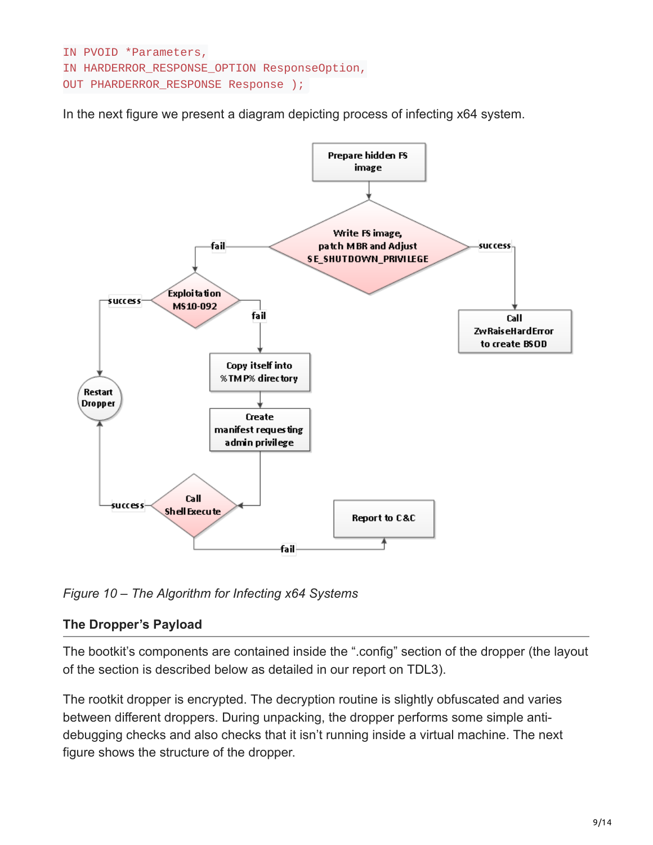```
IN PVOID *Parameters,
IN HARDERROR_RESPONSE_OPTION ResponseOption,
OUT PHARDERROR_RESPONSE Response );
```
In the next figure we present a diagram depicting process of infecting x64 system.



*Figure 10 – The Algorithm for Infecting x64 Systems*

#### **The Dropper's Payload**

The bootkit's components are contained inside the ".config" section of the dropper (the layout of the section is described below as detailed in our report on TDL3).

The rootkit dropper is encrypted. The decryption routine is slightly obfuscated and varies between different droppers. During unpacking, the dropper performs some simple antidebugging checks and also checks that it isn't running inside a virtual machine. The next figure shows the structure of the dropper.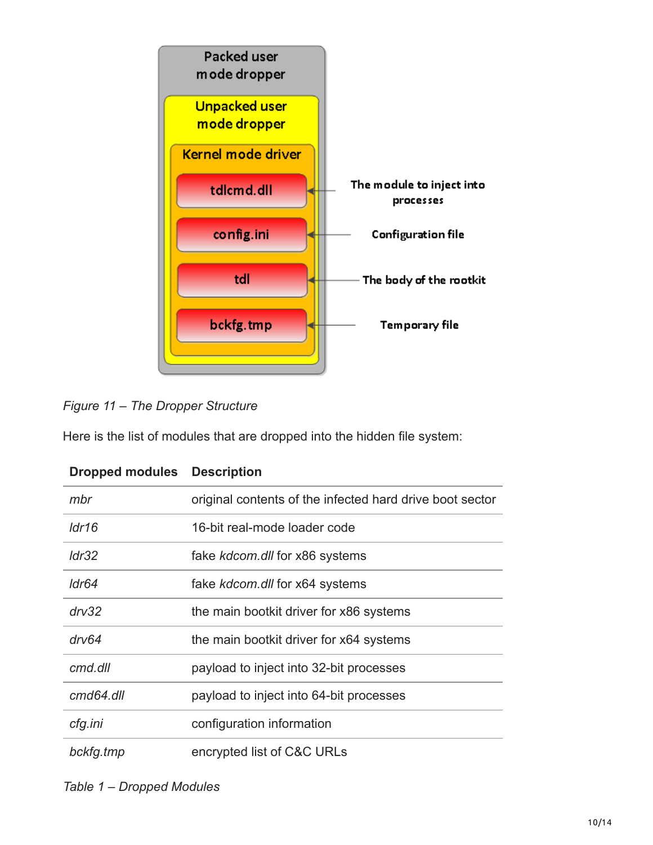



Here is the list of modules that are dropped into the hidden file system:

| Proppou mouuros Posonpuon |                                                          |
|---------------------------|----------------------------------------------------------|
| mbr                       | original contents of the infected hard drive boot sector |
| ldr16                     | 16-bit real-mode loader code                             |
| Idr32                     | fake kdcom.dll for x86 systems                           |
| ldr64                     | fake kdcom.dll for x64 systems                           |
| $\frac{dr}{32}$           | the main bootkit driver for x86 systems                  |
| drv64                     | the main bootkit driver for x64 systems                  |
| cmd.dll                   | payload to inject into 32-bit processes                  |
| cmd64.dll                 | payload to inject into 64-bit processes                  |
| cfg.ini                   | configuration information                                |
| bckfg.tmp                 | encrypted list of C&C URLs                               |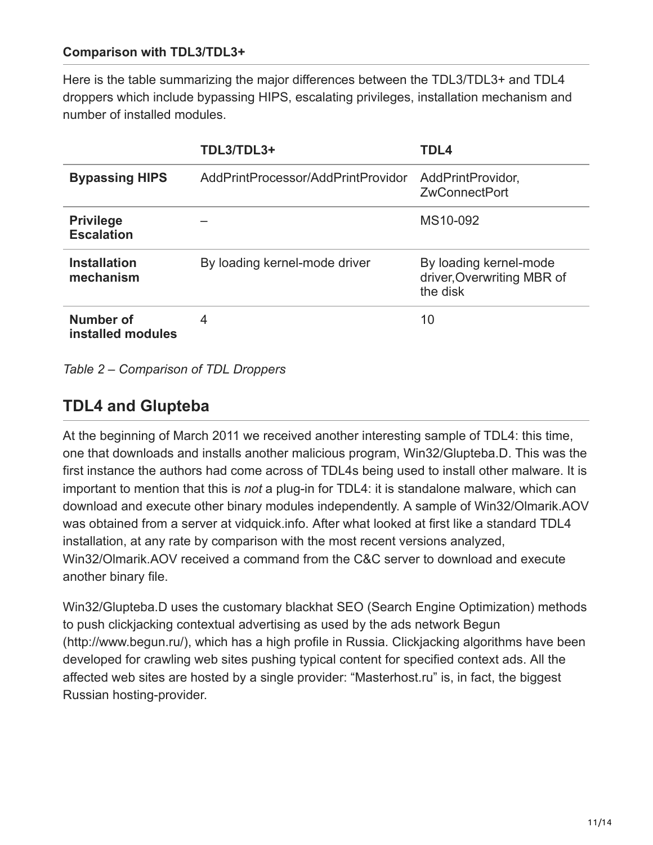#### **Comparison with TDL3/TDL3+**

Here is the table summarizing the major differences between the TDL3/TDL3+ and TDL4 droppers which include bypassing HIPS, escalating privileges, installation mechanism and number of installed modules.

|                                       | TDL3/TDL3+                         | TDL4                                                             |
|---------------------------------------|------------------------------------|------------------------------------------------------------------|
| <b>Bypassing HIPS</b>                 | AddPrintProcessor/AddPrintProvidor | AddPrintProvidor,<br><b>ZwConnectPort</b>                        |
| <b>Privilege</b><br><b>Escalation</b> |                                    | MS10-092                                                         |
| <b>Installation</b><br>mechanism      | By loading kernel-mode driver      | By loading kernel-mode<br>driver, Overwriting MBR of<br>the disk |
| Number of<br>installed modules        | 4                                  | 10                                                               |

*Table 2 – Comparison of TDL Droppers*

## **TDL4 and Glupteba**

At the beginning of March 2011 we received another interesting sample of TDL4: this time, one that downloads and installs another malicious program, Win32/Glupteba.D. This was the first instance the authors had come across of TDL4s being used to install other malware. It is important to mention that this is *not* a plug-in for TDL4: it is standalone malware, which can download and execute other binary modules independently. A sample of Win32/Olmarik.AOV was obtained from a server at vidquick.info. After what looked at first like a standard TDL4 installation, at any rate by comparison with the most recent versions analyzed, Win32/Olmarik.AOV received a command from the C&C server to download and execute another binary file.

Win32/Glupteba.D uses the customary blackhat SEO (Search Engine Optimization) methods to push clickjacking contextual advertising as used by the ads network Begun (http://www.begun.ru/), which has a high profile in Russia. Clickjacking algorithms have been developed for crawling web sites pushing typical content for specified context ads. All the affected web sites are hosted by a single provider: "Masterhost.ru" is, in fact, the biggest Russian hosting-provider.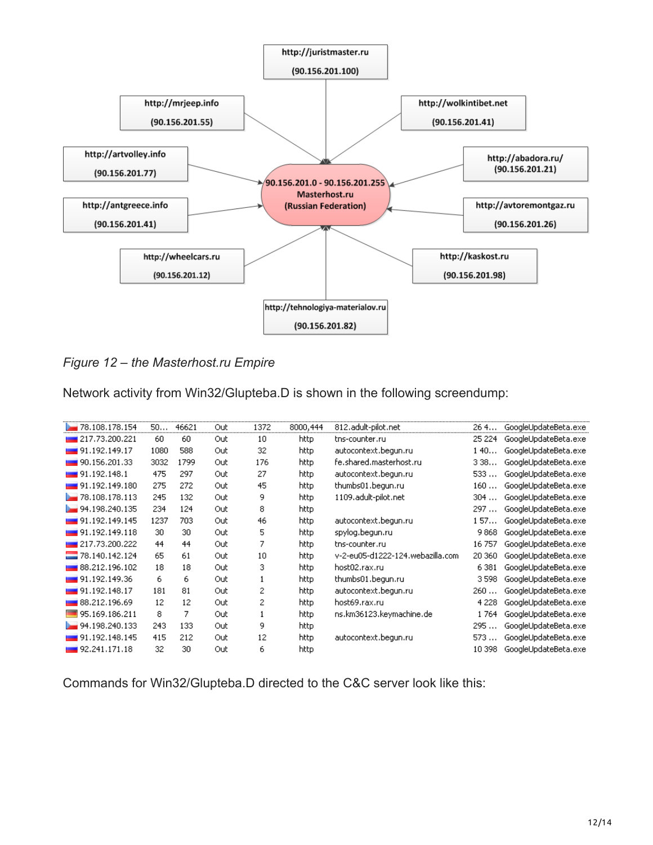

*Figure 12 – the Masterhost.ru Empire*

Network activity from Win32/Glupteba.D is shown in the following screendump:

| 78.108.178.154                | 50.  | 46621 | Out | 1372 | 8000,444 | 812.adult-pilot.net              | 26 4    | GoogleUpdateBeta.exe |
|-------------------------------|------|-------|-----|------|----------|----------------------------------|---------|----------------------|
| 217.73.200.221                | 60   | 60    | Out | 10   | http.    | tns-counter.ru                   | 25 224  | GoogleUpdateBeta.exe |
| $\blacksquare$ 91.192.149.17  | 1080 | 588   | Out | 32   | http     | autocontext.begun.ru             | 140     | GoogleUpdateBeta.exe |
| 90.156.201.33                 | 3032 | 1799  | Out | 176  | http     | fe.shared.masterhost.ru          | 338     | GoogleUpdateBeta.exe |
| $\blacksquare$ 91.192.148.1   | 475  | 297   | Out | 27   | http.    | autocontext.begun.ru             | 533     | GoogleUpdateBeta.exe |
| $\blacksquare$ 91.192.149.180 | 275  | 272   | Out | 45   | http     | thumbs01.begun.ru                | 160     | GoogleUpdateBeta.exe |
| 78.108.178.113                | 245  | 132   | Out | 9    | http     | 1109.adult-pilot.net             | 304     | GoogleUpdateBeta.exe |
| 94.198.240.135                | 234  | 124   | Out | 8    | http     |                                  | 297     | GoogleUpdateBeta.exe |
| $\blacksquare$ 91.192.149.145 | 1237 | 703   | Out | 46   | http.    | autocontext.begun.ru             | 157     | GoogleUpdateBeta.exe |
| $\blacksquare$ 91.192.149.118 | 30   | 30    | Out | 5    | http.    | spylog.begun.ru                  | 9868    | GoogleUpdateBeta.exe |
| 217.73.200.222                | 44   | 44    | Out | 7    | http.    | tns-counter.ru                   | 16757   | GoogleUpdateBeta.exe |
| 78.140.142.124                | 65   | 61    | Out | 10   | http.    | v-2-eu05-d1222-124.webazilla.com | 20 360  | GoogleUpdateBeta.exe |
| 88.212.196.102                | 18   | 18    | Out | 3    | http     | host02.rax.ru                    | 6 3 8 1 | GoogleUpdateBeta.exe |
| $\blacksquare$ 91.192.149.36  | 6    | 6     | Out | 1    | http.    | thumbs01.begun.ru                | 3598    | GoogleUpdateBeta.exe |
| 91.192.148.17                 | 181  | 81    | Out | 2    | http.    | autocontext.begun.ru             | 260     | GoogleUpdateBeta.exe |
| $\blacksquare$ 88.212.196.69  | 12   | 12    | Out | 2    | http.    | host69.rax.ru                    | 4 2 2 8 | GoogleUpdateBeta.exe |
| 95.169.186.211                | 8    | 7     | Out |      | http     | ns.km36123.keymachine.de         | 1764    | GoogleUpdateBeta.exe |
| 94.198.240.133                | 243  | 133   | Out | 9    | http     |                                  | 295     | GoogleUpdateBeta.exe |
| 91.192.148.145                | 415  | 212   | Out | 12   | http.    | autocontext.begun.ru             | 573     | GoogleUpdateBeta.exe |
| $\blacksquare$ 92.241.171.18  | 32   | 30    | Out | 6    | http     |                                  | 10 398  | GoogleUpdateBeta.exe |
|                               |      |       |     |      |          |                                  |         |                      |

Commands for Win32/Glupteba.D directed to the C&C server look like this: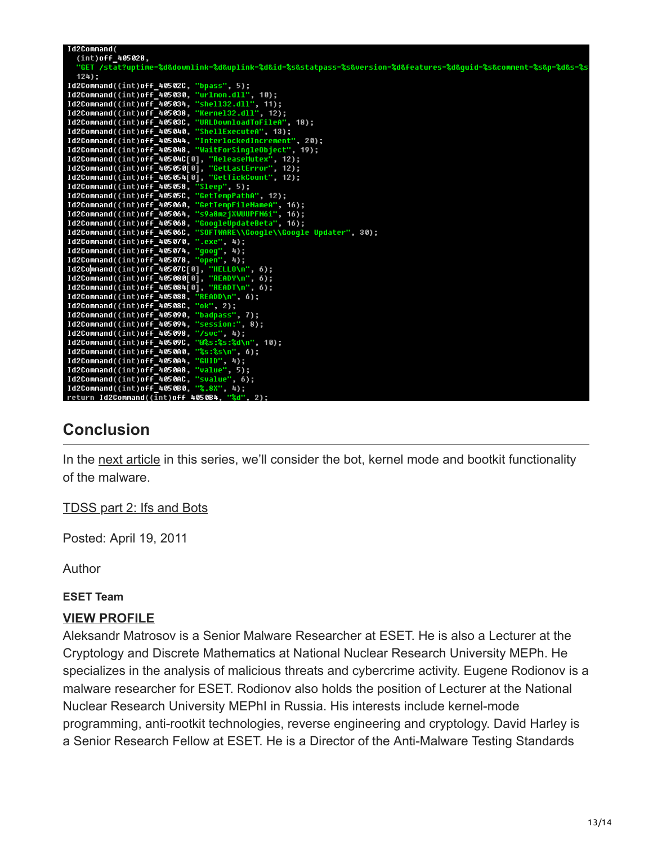| Id2Command(                                                                                                                                 |
|---------------------------------------------------------------------------------------------------------------------------------------------|
| $(int)$ off $_405028$ ,<br>"GET /stat?uptime=%d&downlink=%d&uplink=%d&id=%s&statpass=%s&version=%d&features=%d&quid=%s&comment=%s&p=%d&s=%s |
| $124$ ;                                                                                                                                     |
| Id2Command((int)off 40502C, "bpass", 5);                                                                                                    |
| Id2Command((int)off 405030, "urlmon.dll", 10);                                                                                              |
| Id2Command((int)off 405034, "shell32.dll", 11);                                                                                             |
| Id2Command((int)off 405038, "Kernel32.dll", 12);                                                                                            |
| Id2Command((int)off 40503C, "URLDownloadToFileA", 18);                                                                                      |
| Id2Command((int)off 405040, "ShellExecuteA", 13);                                                                                           |
| Id2Command((int)off_405044, "InterlockedIncrement", 20);                                                                                    |
| Id2Command((int)off_405048, "WaitForSingleObject", 19);                                                                                     |
| Id2Command((int)off_40504C[0], "ReleaseMutex", 12);                                                                                         |
| Id2Command((int)off_405050[0], "GetLastError", 12);                                                                                         |
| Id2Command((int)off 405054[0], "GetTickCount", 12);                                                                                         |
| Id2Command((int)off_405058, "Sleep", 5);                                                                                                    |
| Id2Command((int)off 40505C, "GetTempPathA", 12);                                                                                            |
| Id2Command((int)off 405060, "GetTempFileNameA", 16);                                                                                        |
| Id2Command((int)off 405064, "s9a8mzjXWUUPFN6i", 16);                                                                                        |
| Id2Command((int)off 405068, "GoogleUpdateBeta", 16);                                                                                        |
| Id2Command((int)off 40506C, "SOFTWARE\\Google\\Google Updater", 30);                                                                        |
| Id2Command((int)off 405070, ".exe", 4);                                                                                                     |
| Id2Command((int)off_405074, "goog", 4);                                                                                                     |
| Id2Command((int)off 405078, "open", 4);                                                                                                     |
| Id2Command((int)off_40507C[0], "HELLO\n", 6);                                                                                               |
| Id2Command((int)off_405080[0], "READY\n", 6);                                                                                               |
| Id2Command((int)off_405084[0], "READT\n", 6);                                                                                               |
| Id2Command((int)off_405088, "READD\n", 6);<br>Id2Command((int)off 40508C, "ok", 2);                                                         |
| Id2Command((int)off 405090, "badpass", 7);                                                                                                  |
| Id2Command((int)off 405094, "session:", 8);                                                                                                 |
| Id2Command((int)off 405098, "/svc", 4);                                                                                                     |
| Id2Command((int)off 40509C, "@%s:%s:%d\n", 10);                                                                                             |
| Id2Command((int)off 4050A0, "%s:%s\n", 6);                                                                                                  |
| Id2Command((int)off 4050A4, "GUID", 4);                                                                                                     |
| Id2Command((int)off_4050A8, "value", 5);                                                                                                    |
| Id2Command((int)off 4050AC, "svalue", 6);                                                                                                   |
| Id2Command((int)off 4050B0, "%.8X", 4);                                                                                                     |
| votuvo IdODammand//intlacc LOCOD6 UQdU Oli                                                                                                  |

## **Conclusion**

In the [next article](https://resources.infosecinstitute.com/tdss4-part-2/) in this series, we'll consider the bot, kernel mode and bootkit functionality of the malware.

[TDSS part 2: Ifs and Bots](https://resources.infosecinstitute.com/tdss4-part-2/)

Posted: April 19, 2011

Author

#### **ESET Team**

#### **[VIEW PROFILE](https://resources.infosecinstitute.com/author/eset-team/)**

Aleksandr Matrosov is a Senior Malware Researcher at ESET. He is also a Lecturer at the Cryptology and Discrete Mathematics at National Nuclear Research University MEPh. He specializes in the analysis of malicious threats and cybercrime activity. Eugene Rodionov is a malware researcher for ESET. Rodionov also holds the position of Lecturer at the National Nuclear Research University MEPhI in Russia. His interests include kernel-mode programming, anti-rootkit technologies, reverse engineering and cryptology. David Harley is a Senior Research Fellow at ESET. He is a Director of the Anti-Malware Testing Standards